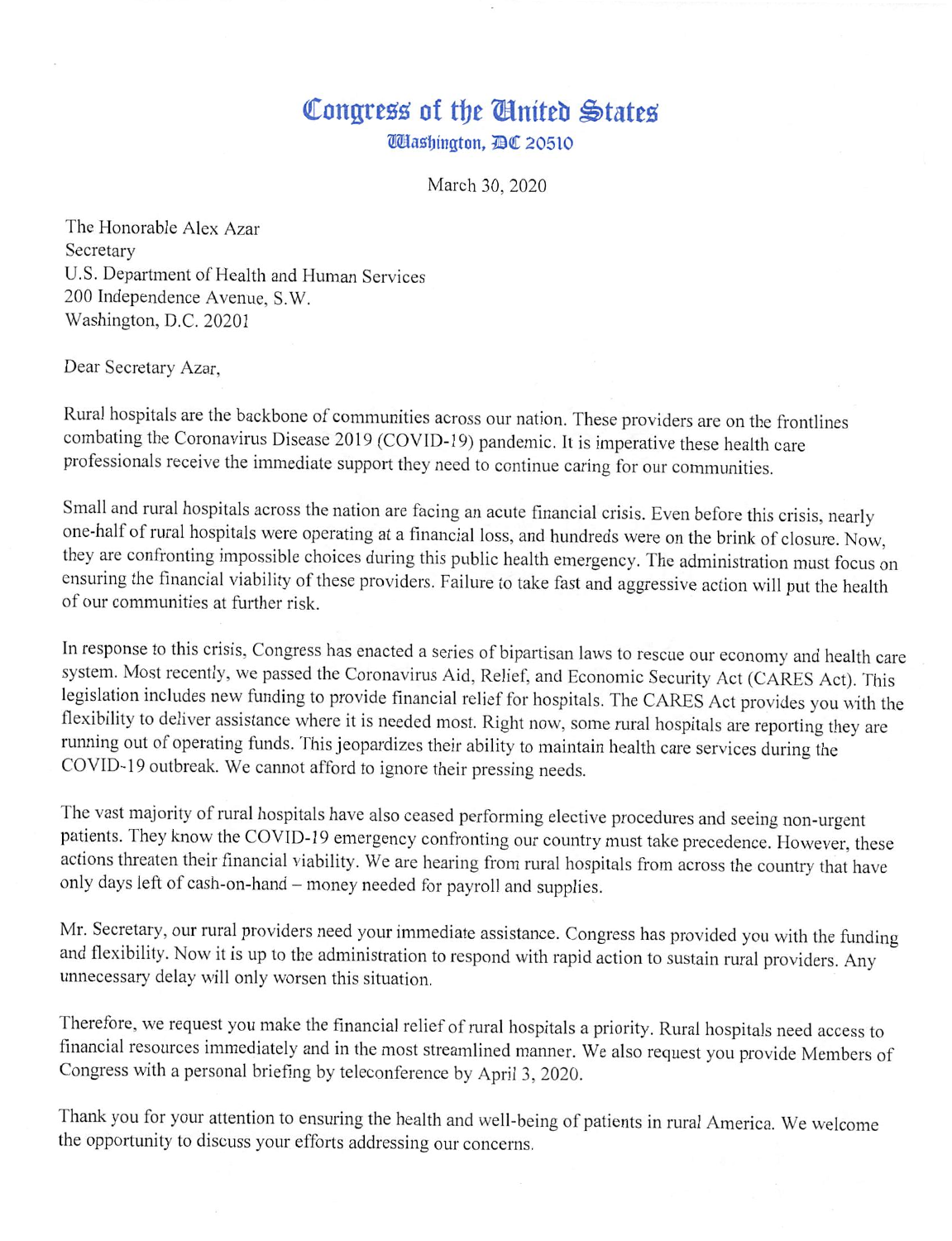## Congress of the Cinited States

*Ulashington, DC 20510* 

March 30, 2020

The Honorable Alex Azar Secretary U.S. Department of Health and Human Services 200 Independence Avenue, S.W. Washington, D.C. 20201

Dear Secretary Azar,

Rural hospitals are the backbone of communities across our nation. These providers are on the frontlines combating the Coronavirus Disease 2019 (COVID-19) pandemic. It is imperative these health care professionals receive the immediate support they need to continue caring for our communities.

Small and rural hospitals across the nation are facing an acute financial crisis. Even before this crisis, nearly one-half of rural hospitals were operating at a financial loss, and hundreds were on the brink of closure. Now, they are confronting impossible choices during this public health emergency. The administration must focus on ensuring the financial viability of these providers. Failure to take fast and aggressive action will put the health of our communities at further risk.

In response to this crisis, Congress has enacted a series of bipartisan laws to rescue our economy and health care system. Most recently, we passed the Coronavirus Aid, Relief, and Economic Security Act (CARES Act). This legislation includes new funding to provide financial relief for hospitals. The CARES Act provides you with the flexibility to deliver assistance where it is needed most. Right now, some rural hospitals are reporting they are running out of operating funds. This jeopardizes their ability to maintain health care services during the COVID-19 outbreak. We cannot afford to ignore their pressing needs.

The vast majority of rural hospitals have also ceased performing elective procedures and seeing non-urgent patients. They know the COVID-19 emergency confronting our country must take precedence. However, these actions threaten their financial viability. We are hearing from rural hospitals from across the country that have only days left of cash-on-hand - money needed for payroll and supplies.

Mr. Secretary, our rural providers need your immediate assistance. Congress has provided you with the funding and flexibility. Now it is up to the administration to respond with rapid action to sustain rural providers. Any unnecessary delay will only worsen this situation.

Therefore, we request you make the financial relief of rural hospitals a priority. Rural hospitals need access to financial resources immediately and in the most streamlined manner. We also request you provide Members of Congress with a personal briefing by teleconference by April 3, 2020.

Thank you for your attention to ensuring the health and well-being of patients in rural America. We welcome the opportunity to discuss your efforts addressing our concerns.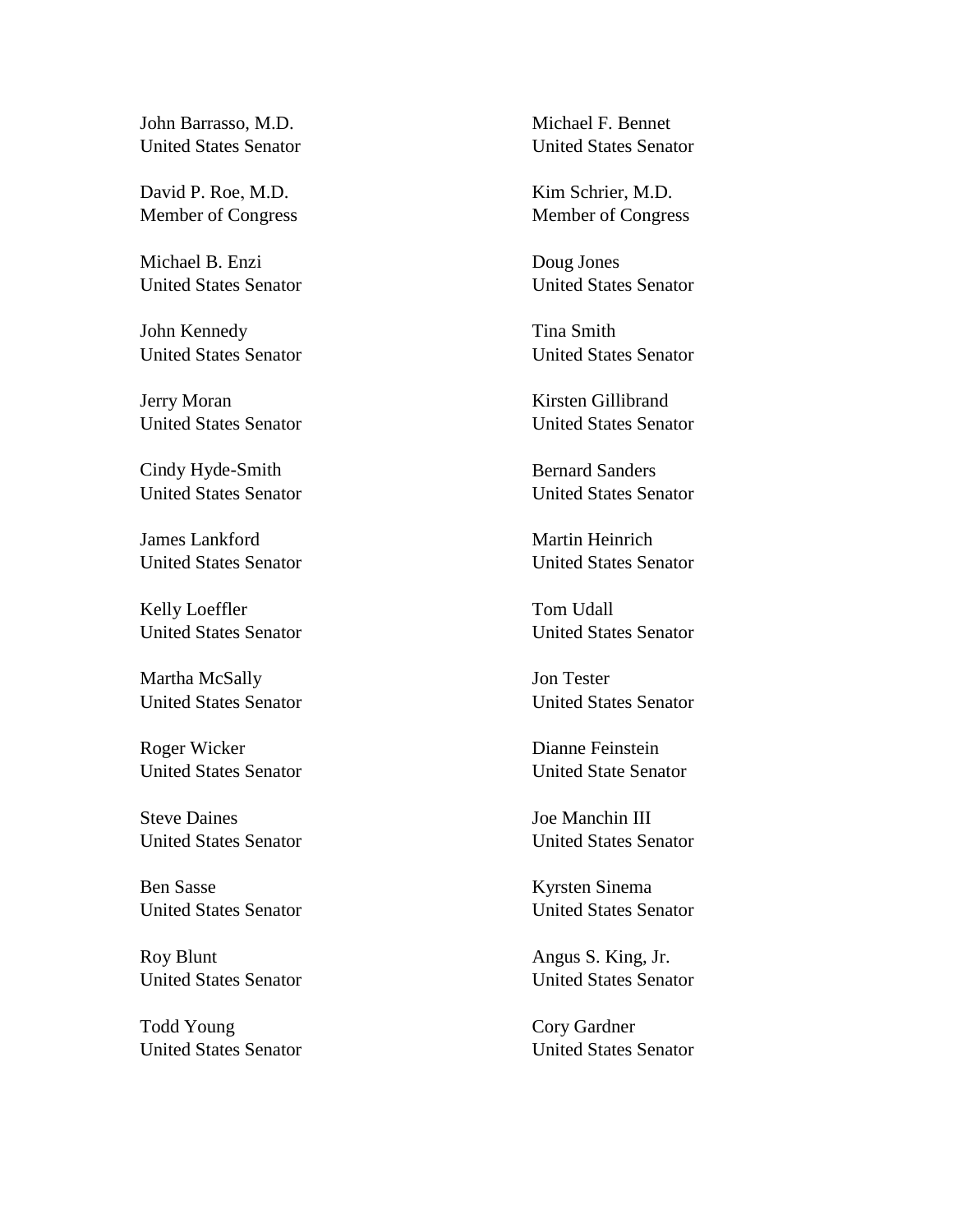John Barrasso, M.D. United States Senator

David P. Roe, M.D. Member of Congress

Michael B. Enzi United States Senator

John Kennedy United States Senator

Jerry Moran United States Senator

Cindy Hyde-Smith United States Senator

James Lankford United States Senator

Kelly Loeffler United States Senator

Martha McSally United States Senator

Roger Wicker United States Senator

Steve Daines United States Senator

Ben Sasse United States Senator

Roy Blunt United States Senator

Todd Young United States Senator Michael F. Bennet United States Senator

Kim Schrier, M.D. Member of Congress

Doug Jones United States Senator

Tina Smith United States Senator

Kirsten Gillibrand United States Senator

Bernard Sanders United States Senator

Martin Heinrich United States Senator

Tom Udall United States Senator

Jon Tester United States Senator

Dianne Feinstein United State Senator

Joe Manchin III United States Senator

Kyrsten Sinema United States Senator

Angus S. King, Jr. United States Senator

Cory Gardner United States Senator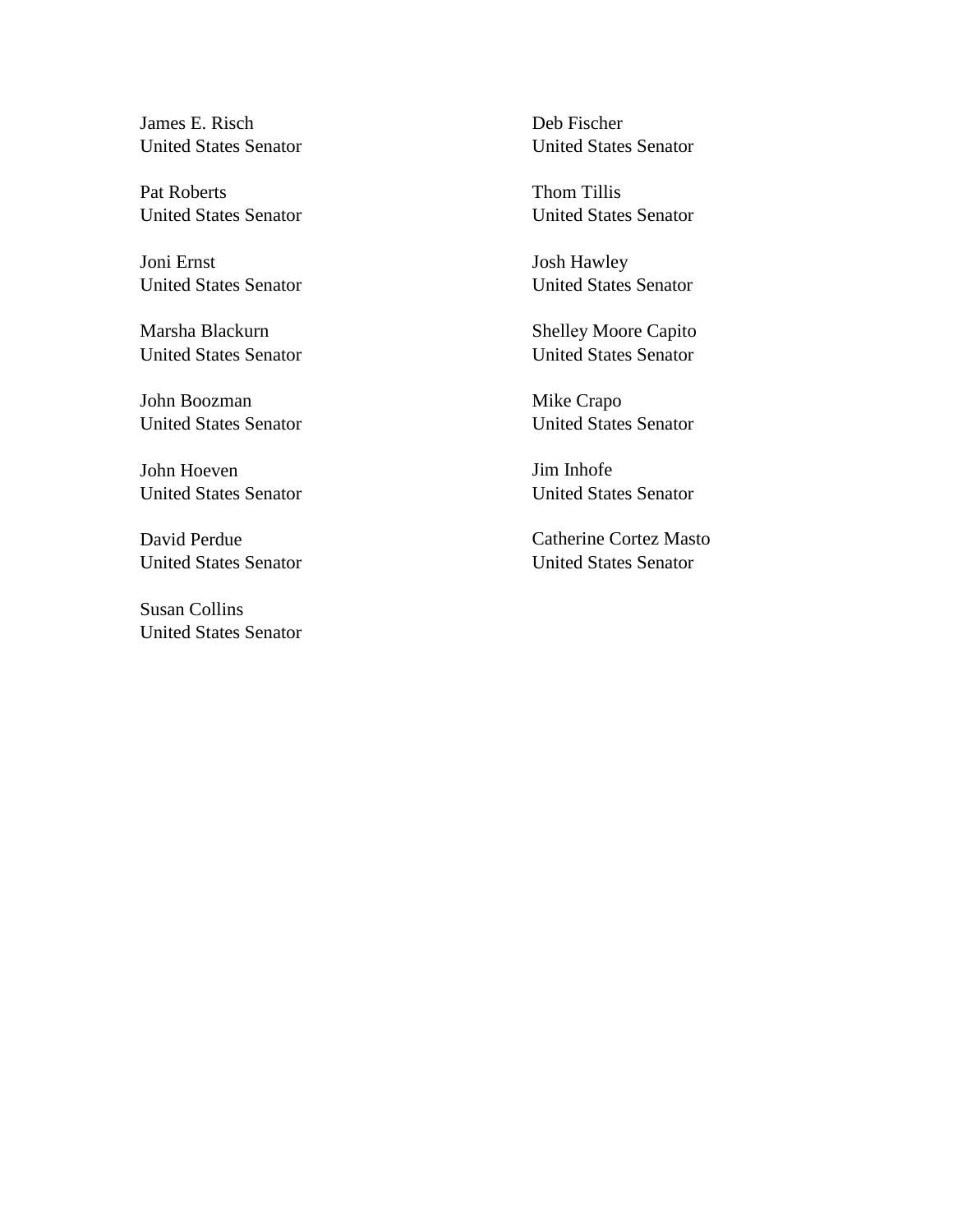James E. Risch United States Senator

Pat Roberts United States Senator

Joni Ernst United States Senator

Marsha Blackurn United States Senator

John Boozman United States Senator

John Hoeven United States Senator

David Perdue United States Senator

Susan Collins United States Senator Deb Fischer United States Senator

Thom Tillis United States Senator

Josh Hawley United States Senator

Shelley Moore Capito United States Senator

Mike Crapo United States Senator

Jim Inhofe United States Senator

Catherine Cortez Masto United States Senator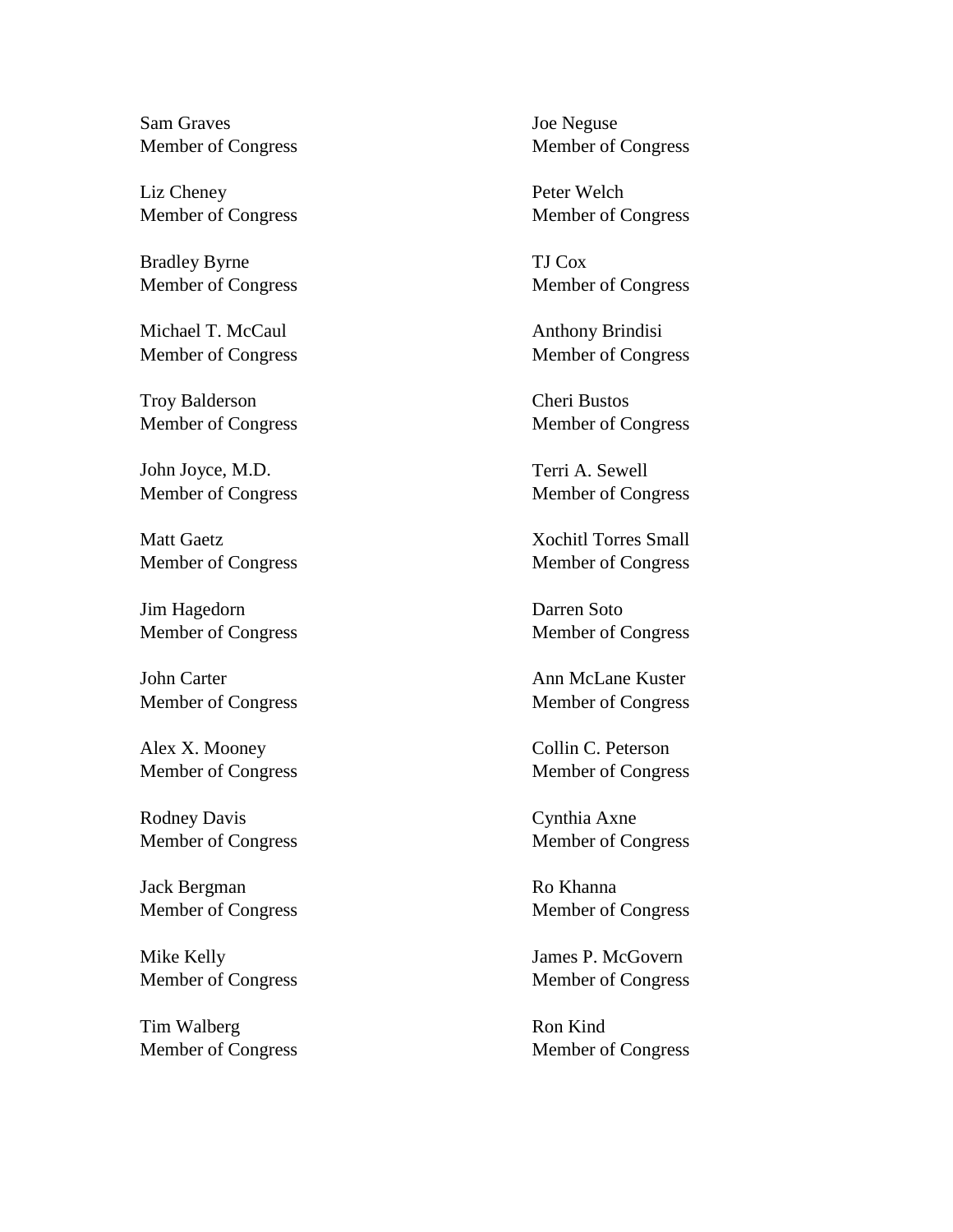Sam Graves Member of Congress

Liz Cheney Member of Congress

Bradley Byrne Member of Congress

Michael T. McCaul Member of Congress

Troy Balderson Member of Congress

John Joyce, M.D. Member of Congress

Matt Gaetz Member of Congress

Jim Hagedorn Member of Congress

John Carter Member of Congress

Alex X. Mooney Member of Congress

Rodney Davis Member of Congress

Jack Bergman Member of Congress

Mike Kelly Member of Congress

Tim Walberg Member of Congress Joe Neguse Member of Congress

Peter Welch Member of Congress

TJ Cox Member of Congress

Anthony Brindisi Member of Congress

Cheri Bustos Member of Congress

Terri A. Sewell Member of Congress

Xochitl Torres Small Member of Congress

Darren Soto Member of Congress

Ann McLane Kuster Member of Congress

Collin C. Peterson Member of Congress

Cynthia Axne Member of Congress

Ro Khanna Member of Congress

James P. McGovern Member of Congress

Ron Kind Member of Congress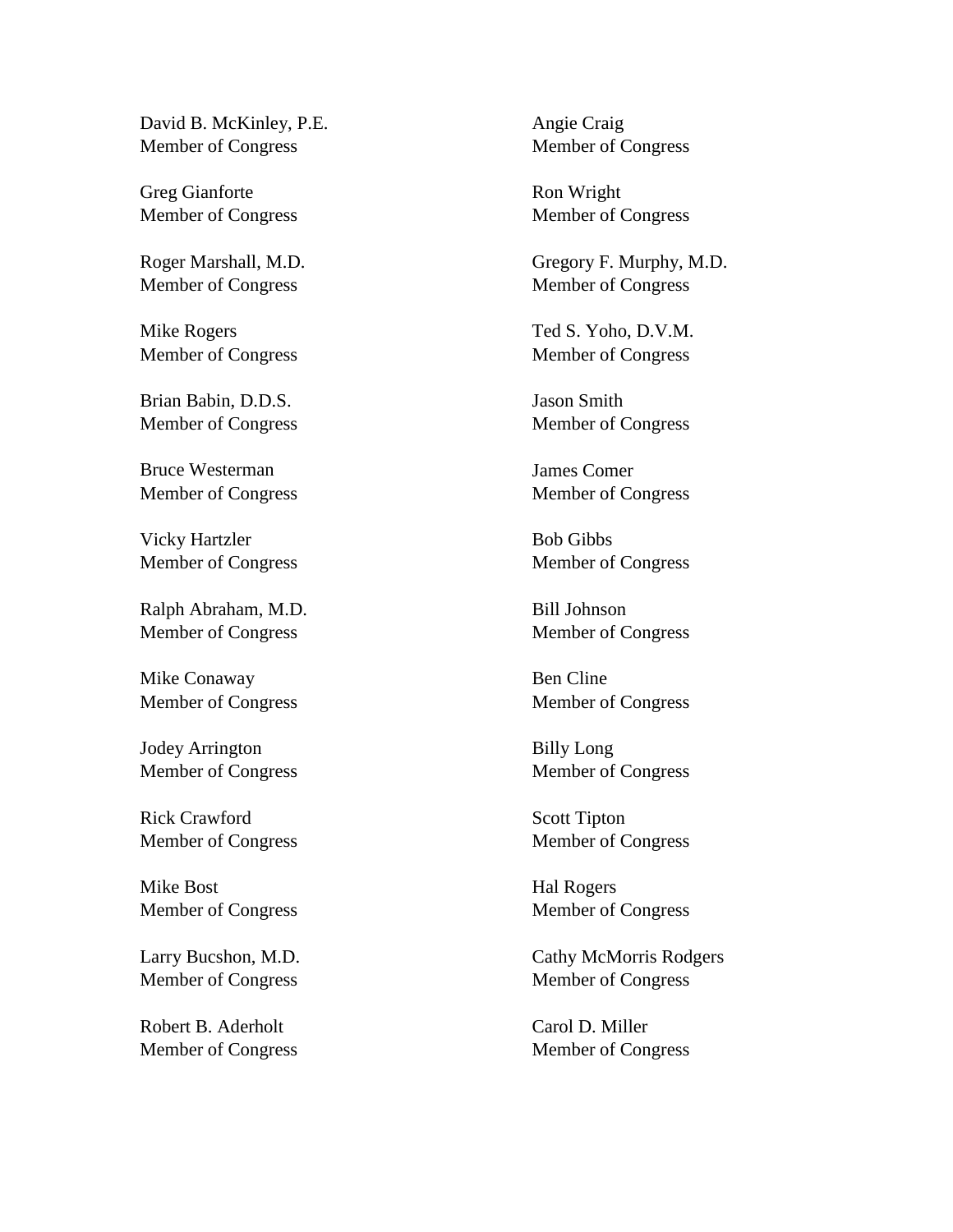David B. McKinley, P.E. Member of Congress

Greg Gianforte Member of Congress

Roger Marshall, M.D. Member of Congress

Mike Rogers Member of Congress

Brian Babin, D.D.S. Member of Congress

Bruce Westerman Member of Congress

Vicky Hartzler Member of Congress

Ralph Abraham, M.D. Member of Congress

Mike Conaway Member of Congress

Jodey Arrington Member of Congress

Rick Crawford Member of Congress

Mike Bost Member of Congress

Larry Bucshon, M.D. Member of Congress

Robert B. Aderholt Member of Congress Angie Craig Member of Congress

Ron Wright Member of Congress

Gregory F. Murphy, M.D. Member of Congress

Ted S. Yoho, D.V.M. Member of Congress

Jason Smith Member of Congress

James Comer Member of Congress

Bob Gibbs Member of Congress

Bill Johnson Member of Congress

Ben Cline Member of Congress

Billy Long Member of Congress

Scott Tipton Member of Congress

Hal Rogers Member of Congress

Cathy McMorris Rodgers Member of Congress

Carol D. Miller Member of Congress